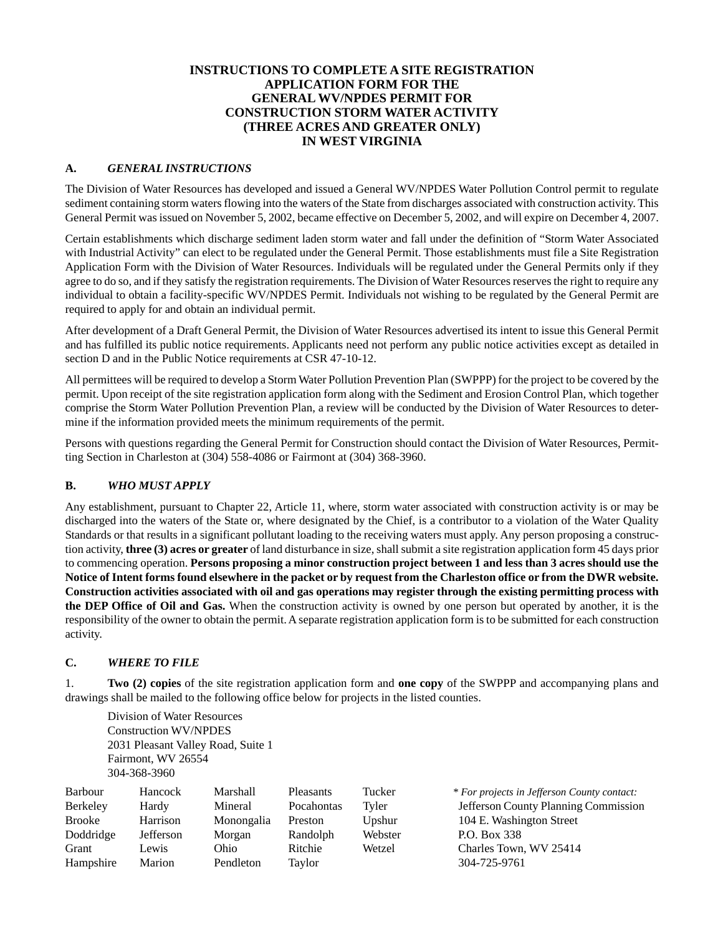## **INSTRUCTIONS TO COMPLETE A SITE REGISTRATION APPLICATION FORM FOR THE GENERAL WV/NPDES PERMIT FOR CONSTRUCTION STORM WATER ACTIVITY (THREE ACRES AND GREATER ONLY) IN WEST VIRGINIA**

## **A.** *GENERAL INSTRUCTIONS*

The Division of Water Resources has developed and issued a General WV/NPDES Water Pollution Control permit to regulate sediment containing storm waters flowing into the waters of the State from discharges associated with construction activity. This General Permit was issued on November 5, 2002, became effective on December 5, 2002, and will expire on December 4, 2007.

Certain establishments which discharge sediment laden storm water and fall under the definition of "Storm Water Associated with Industrial Activity" can elect to be regulated under the General Permit. Those establishments must file a Site Registration Application Form with the Division of Water Resources. Individuals will be regulated under the General Permits only if they agree to do so, and if they satisfy the registration requirements. The Division of Water Resources reserves the right to require any individual to obtain a facility-specific WV/NPDES Permit. Individuals not wishing to be regulated by the General Permit are required to apply for and obtain an individual permit.

After development of a Draft General Permit, the Division of Water Resources advertised its intent to issue this General Permit and has fulfilled its public notice requirements. Applicants need not perform any public notice activities except as detailed in section D and in the Public Notice requirements at CSR 47-10-12.

All permittees will be required to develop a Storm Water Pollution Prevention Plan (SWPPP) for the project to be covered by the permit. Upon receipt of the site registration application form along with the Sediment and Erosion Control Plan, which together comprise the Storm Water Pollution Prevention Plan, a review will be conducted by the Division of Water Resources to determine if the information provided meets the minimum requirements of the permit.

Persons with questions regarding the General Permit for Construction should contact the Division of Water Resources, Permitting Section in Charleston at (304) 558-4086 or Fairmont at (304) 368-3960.

#### **B.** *WHO MUST APPLY*

Any establishment, pursuant to Chapter 22, Article 11, where, storm water associated with construction activity is or may be discharged into the waters of the State or, where designated by the Chief, is a contributor to a violation of the Water Quality Standards or that results in a significant pollutant loading to the receiving waters must apply. Any person proposing a construction activity, **three (3) acres or greater** of land disturbance in size, shall submit a site registration application form 45 days prior to commencing operation. **Persons proposing a minor construction project between 1 and less than 3 acres should use the Notice of Intent forms found elsewhere in the packet or by request from the Charleston office or from the DWR website. Construction activities associated with oil and gas operations may register through the existing permitting process with the DEP Office of Oil and Gas.** When the construction activity is owned by one person but operated by another, it is the responsibility of the owner to obtain the permit. A separate registration application form is to be submitted for each construction activity.

# **C.** *WHERE TO FILE*

1. **Two (2) copies** of the site registration application form and **one copy** of the SWPPP and accompanying plans and drawings shall be mailed to the following office below for projects in the listed counties.

Division of Water Resources Construction WV/NPDES 2031 Pleasant Valley Road, Suite 1 Fairmont, WV 26554 304-368-3960

| Barbour       | Hancock   | Marshall   | <b>Pleasants</b> | Tucker  | * For projects in Jefferson County contact: |
|---------------|-----------|------------|------------------|---------|---------------------------------------------|
| Berkeley      | Hardy     | Mineral    | Pocahontas       | Tvler   | Jefferson County Planning Commission        |
| <b>Brooke</b> | Harrison  | Monongalia | Preston          | Upshur  | 104 E. Washington Street                    |
| Doddridge     | Jefferson | Morgan     | Randolph         | Webster | P.O. Box 338                                |
| Grant         | Lewis     | Ohio       | Ritchie          | Wetzel  | Charles Town, WV 25414                      |
| Hampshire     | Marion    | Pendleton  | Taylor           |         | 304-725-9761                                |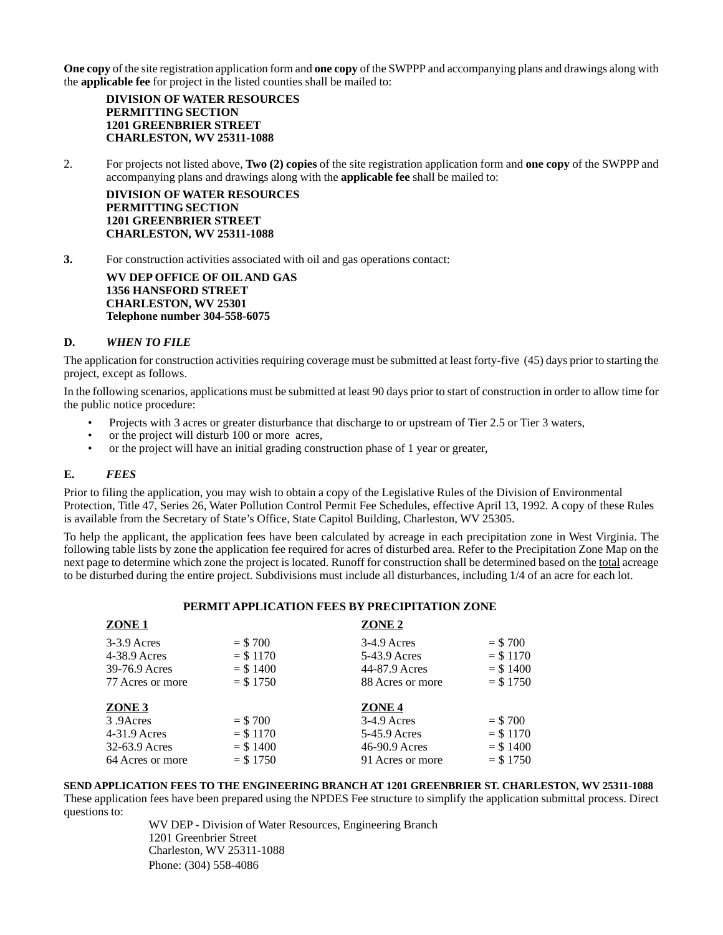**One copy** of the site registration application form and **one copy** of the SWPPP and accompanying plans and drawings along with the **applicable fee** for project in the listed counties shall be mailed to:

**DIVISION OF WATER RESOURCES PERMITTING SECTION 1201 GREENBRIER STREET CHARLESTON, WV 25311-1088**

2. For projects not listed above, **Two (2) copies** of the site registration application form and **one copy** of the SWPPP and accompanying plans and drawings along with the **applicable fee** shall be mailed to:

**DIVISION OF WATER RESOURCES PERMITTING SECTION 1201 GREENBRIER STREET CHARLESTON, WV 25311-1088**

**3.** For construction activities associated with oil and gas operations contact:

**WV DEP OFFICE OF OIL AND GAS 1356 HANSFORD STREET CHARLESTON, WV 25301 Telephone number 304-558-6075**

#### **D.** *WHEN TO FILE*

The application for construction activities requiring coverage must be submitted at least forty-five (45) days prior to starting the project, except as follows.

In the following scenarios, applications must be submitted at least 90 days prior to start of construction in order to allow time for the public notice procedure:

- Projects with 3 acres or greater disturbance that discharge to or upstream of Tier 2.5 or Tier 3 waters,
- or the project will disturb 100 or more acres,
- or the project will have an initial grading construction phase of 1 year or greater,

#### **E.** *FEES*

Prior to filing the application, you may wish to obtain a copy of the Legislative Rules of the Division of Environmental Protection, Title 47, Series 26, Water Pollution Control Permit Fee Schedules, effective April 13, 1992. A copy of these Rules is available from the Secretary of State's Office, State Capitol Building, Charleston, WV 25305.

To help the applicant, the application fees have been calculated by acreage in each precipitation zone in West Virginia. The following table lists by zone the application fee required for acres of disturbed area. Refer to the Precipitation Zone Map on the next page to determine which zone the project is located. Runoff for construction shall be determined based on the total acreage to be disturbed during the entire project. Subdivisions must include all disturbances, including 1/4 of an acre for each lot.

#### **PERMIT APPLICATION FEES BY PRECIPITATION ZONE**

| ZONE <sub>1</sub>                                                                     |                                                     | ZONE <sub>2</sub>                                                                       |                                                     |
|---------------------------------------------------------------------------------------|-----------------------------------------------------|-----------------------------------------------------------------------------------------|-----------------------------------------------------|
| $3-3.9$ Acres<br>$4-38.9$ Acres<br>39-76.9 Acres<br>77 Acres or more                  | $= $700$<br>$=$ \$ 1170<br>$= $1400$<br>$=$ \$ 1750 | $3-4.9$ Acres<br>5-43.9 Acres<br>44-87.9 Acres<br>88 Acres or more                      | $= $700$<br>$=$ \$ 1170<br>$=$ \$ 1400<br>$= $1750$ |
| ZONE <sub>3</sub><br>3.9 Acres<br>$4-31.9$ Acres<br>32-63.9 Acres<br>64 Acres or more | $= $700$<br>$=$ \$ 1170<br>$= $1400$<br>$= $1750$   | ZONE <sub>4</sub><br>$3-4.9$ Acres<br>5-45.9 Acres<br>46-90.9 Acres<br>91 Acres or more | $= $700$<br>$= $1170$<br>$=$ \$ 1400<br>$=$ \$ 1750 |

**SEND APPLICATION FEES TO THE ENGINEERING BRANCH AT 1201 GREENBRIER ST. CHARLESTON, WV 25311-1088** These application fees have been prepared using the NPDES Fee structure to simplify the application submittal process. Direct questions to:

> WV DEP - Division of Water Resources, Engineering Branch 1201 Greenbrier Street Charleston, WV 25311-1088 Phone: (304) 558-4086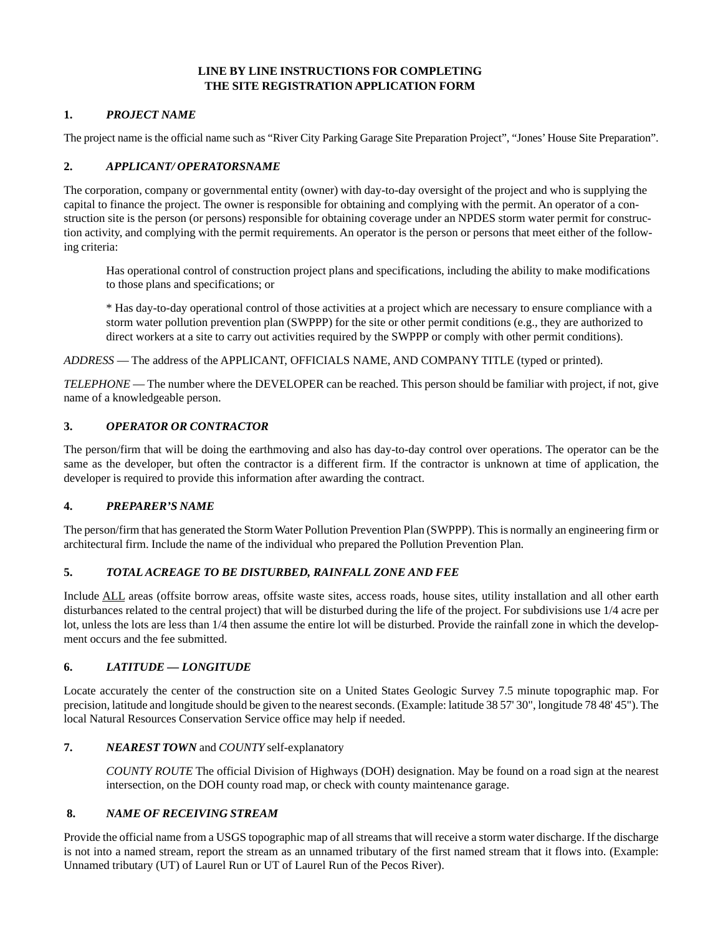## **LINE BY LINE INSTRUCTIONS FOR COMPLETING THE SITE REGISTRATION APPLICATION FORM**

## **1.** *PROJECT NAME*

The project name is the official name such as "River City Parking Garage Site Preparation Project", "Jones' House Site Preparation".

# **2.** *APPLICANT/ OPERATORSNAME*

The corporation, company or governmental entity (owner) with day-to-day oversight of the project and who is supplying the capital to finance the project. The owner is responsible for obtaining and complying with the permit. An operator of a construction site is the person (or persons) responsible for obtaining coverage under an NPDES storm water permit for construction activity, and complying with the permit requirements. An operator is the person or persons that meet either of the following criteria:

Has operational control of construction project plans and specifications, including the ability to make modifications to those plans and specifications; or

\* Has day-to-day operational control of those activities at a project which are necessary to ensure compliance with a storm water pollution prevention plan (SWPPP) for the site or other permit conditions (e.g., they are authorized to direct workers at a site to carry out activities required by the SWPPP or comply with other permit conditions).

*ADDRESS* — The address of the APPLICANT, OFFICIALS NAME, AND COMPANY TITLE (typed or printed).

*TELEPHONE* — The number where the DEVELOPER can be reached. This person should be familiar with project, if not, give name of a knowledgeable person.

## **3.** *OPERATOR OR CONTRACTOR*

The person/firm that will be doing the earthmoving and also has day-to-day control over operations. The operator can be the same as the developer, but often the contractor is a different firm. If the contractor is unknown at time of application, the developer is required to provide this information after awarding the contract.

# **4.** *PREPARER'S NAME*

The person/firm that has generated the Storm Water Pollution Prevention Plan (SWPPP). This is normally an engineering firm or architectural firm. Include the name of the individual who prepared the Pollution Prevention Plan.

# **5.** *TOTAL ACREAGE TO BE DISTURBED, RAINFALL ZONE AND FEE*

Include ALL areas (offsite borrow areas, offsite waste sites, access roads, house sites, utility installation and all other earth disturbances related to the central project) that will be disturbed during the life of the project. For subdivisions use 1/4 acre per lot, unless the lots are less than 1/4 then assume the entire lot will be disturbed. Provide the rainfall zone in which the development occurs and the fee submitted.

#### **6.** *LATITUDE — LONGITUDE*

Locate accurately the center of the construction site on a United States Geologic Survey 7.5 minute topographic map. For precision, latitude and longitude should be given to the nearest seconds. (Example: latitude 38 57' 30", longitude 78 48' 45"). The local Natural Resources Conservation Service office may help if needed.

## **7.** *NEAREST TOWN* and *COUNTY* self-explanatory

*COUNTY ROUTE* The official Division of Highways (DOH) designation. May be found on a road sign at the nearest intersection, on the DOH county road map, or check with county maintenance garage.

# **8.** *NAME OF RECEIVING STREAM*

Provide the official name from a USGS topographic map of all streams that will receive a storm water discharge. If the discharge is not into a named stream, report the stream as an unnamed tributary of the first named stream that it flows into. (Example: Unnamed tributary (UT) of Laurel Run or UT of Laurel Run of the Pecos River).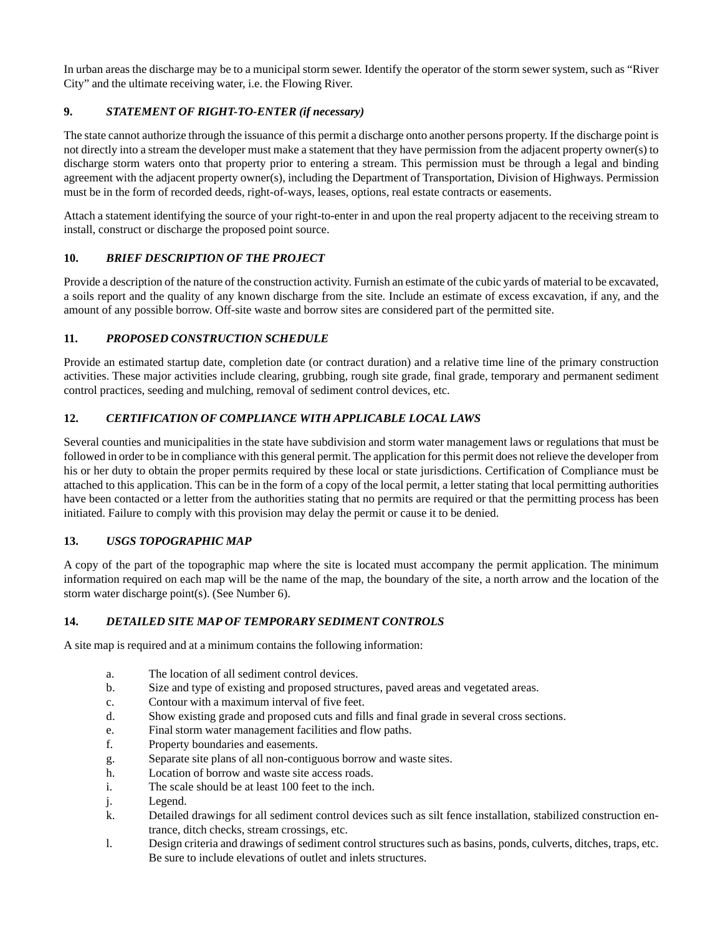In urban areas the discharge may be to a municipal storm sewer. Identify the operator of the storm sewer system, such as "River City" and the ultimate receiving water, i.e. the Flowing River.

# **9.** *STATEMENT OF RIGHT-TO-ENTER (if necessary)*

The state cannot authorize through the issuance of this permit a discharge onto another persons property. If the discharge point is not directly into a stream the developer must make a statement that they have permission from the adjacent property owner(s) to discharge storm waters onto that property prior to entering a stream. This permission must be through a legal and binding agreement with the adjacent property owner(s), including the Department of Transportation, Division of Highways. Permission must be in the form of recorded deeds, right-of-ways, leases, options, real estate contracts or easements.

Attach a statement identifying the source of your right-to-enter in and upon the real property adjacent to the receiving stream to install, construct or discharge the proposed point source.

## **10.** *BRIEF DESCRIPTION OF THE PROJECT*

Provide a description of the nature of the construction activity. Furnish an estimate of the cubic yards of material to be excavated, a soils report and the quality of any known discharge from the site. Include an estimate of excess excavation, if any, and the amount of any possible borrow. Off-site waste and borrow sites are considered part of the permitted site.

## **11.** *PROPOSED CONSTRUCTION SCHEDULE*

Provide an estimated startup date, completion date (or contract duration) and a relative time line of the primary construction activities. These major activities include clearing, grubbing, rough site grade, final grade, temporary and permanent sediment control practices, seeding and mulching, removal of sediment control devices, etc.

# **12.** *CERTIFICATION OF COMPLIANCE WITH APPLICABLE LOCAL LAWS*

Several counties and municipalities in the state have subdivision and storm water management laws or regulations that must be followed in order to be in compliance with this general permit. The application for this permit does not relieve the developer from his or her duty to obtain the proper permits required by these local or state jurisdictions. Certification of Compliance must be attached to this application. This can be in the form of a copy of the local permit, a letter stating that local permitting authorities have been contacted or a letter from the authorities stating that no permits are required or that the permitting process has been initiated. Failure to comply with this provision may delay the permit or cause it to be denied.

# **13.** *USGS TOPOGRAPHIC MAP*

A copy of the part of the topographic map where the site is located must accompany the permit application. The minimum information required on each map will be the name of the map, the boundary of the site, a north arrow and the location of the storm water discharge point(s). (See Number 6).

#### **14.** *DETAILED SITE MAP OF TEMPORARY SEDIMENT CONTROLS*

A site map is required and at a minimum contains the following information:

- a. The location of all sediment control devices.
- b. Size and type of existing and proposed structures, paved areas and vegetated areas.
- c. Contour with a maximum interval of five feet.
- d. Show existing grade and proposed cuts and fills and final grade in several cross sections.
- e. Final storm water management facilities and flow paths.
- f. Property boundaries and easements.
- g. Separate site plans of all non-contiguous borrow and waste sites.
- h. Location of borrow and waste site access roads.
- i. The scale should be at least 100 feet to the inch.
- j. Legend.
- k. Detailed drawings for all sediment control devices such as silt fence installation, stabilized construction entrance, ditch checks, stream crossings, etc.
- l. Design criteria and drawings of sediment control structures such as basins, ponds, culverts, ditches, traps, etc. Be sure to include elevations of outlet and inlets structures.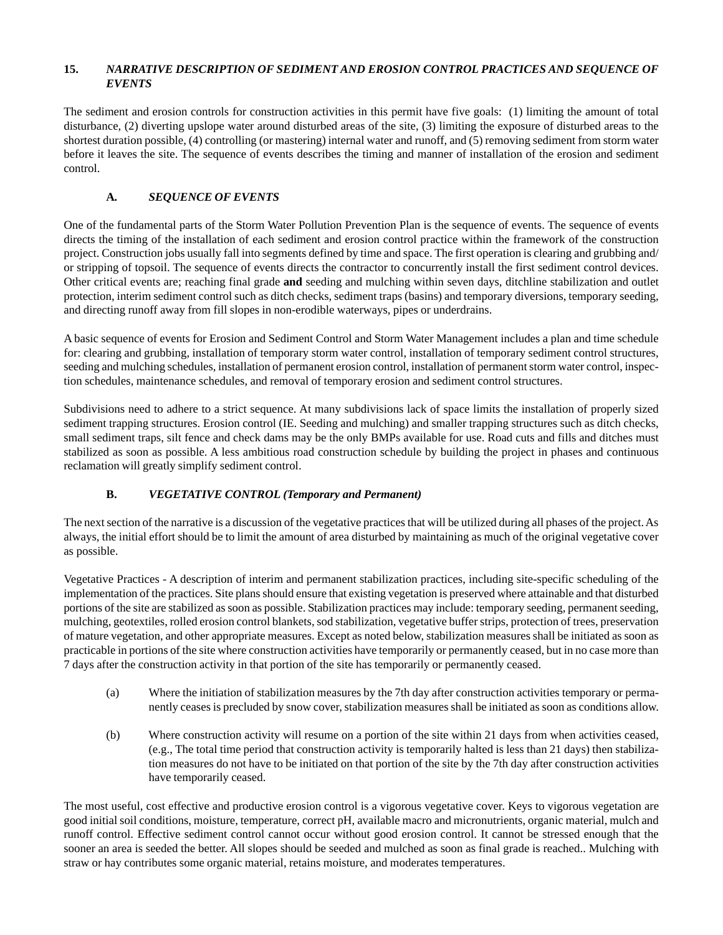## **15.** *NARRATIVE DESCRIPTION OF SEDIMENT AND EROSION CONTROL PRACTICES AND SEQUENCE OF EVENTS*

The sediment and erosion controls for construction activities in this permit have five goals: (1) limiting the amount of total disturbance, (2) diverting upslope water around disturbed areas of the site, (3) limiting the exposure of disturbed areas to the shortest duration possible, (4) controlling (or mastering) internal water and runoff, and (5) removing sediment from storm water before it leaves the site. The sequence of events describes the timing and manner of installation of the erosion and sediment control.

# **A***. SEQUENCE OF EVENTS*

One of the fundamental parts of the Storm Water Pollution Prevention Plan is the sequence of events. The sequence of events directs the timing of the installation of each sediment and erosion control practice within the framework of the construction project. Construction jobs usually fall into segments defined by time and space. The first operation is clearing and grubbing and/ or stripping of topsoil. The sequence of events directs the contractor to concurrently install the first sediment control devices. Other critical events are; reaching final grade **and** seeding and mulching within seven days, ditchline stabilization and outlet protection, interim sediment control such as ditch checks, sediment traps (basins) and temporary diversions, temporary seeding, and directing runoff away from fill slopes in non-erodible waterways, pipes or underdrains.

A basic sequence of events for Erosion and Sediment Control and Storm Water Management includes a plan and time schedule for: clearing and grubbing, installation of temporary storm water control, installation of temporary sediment control structures, seeding and mulching schedules, installation of permanent erosion control, installation of permanent storm water control, inspection schedules, maintenance schedules, and removal of temporary erosion and sediment control structures.

Subdivisions need to adhere to a strict sequence. At many subdivisions lack of space limits the installation of properly sized sediment trapping structures. Erosion control (IE. Seeding and mulching) and smaller trapping structures such as ditch checks, small sediment traps, silt fence and check dams may be the only BMPs available for use. Road cuts and fills and ditches must stabilized as soon as possible. A less ambitious road construction schedule by building the project in phases and continuous reclamation will greatly simplify sediment control.

# **B.** *VEGETATIVE CONTROL (Temporary and Permanent)*

The next section of the narrative is a discussion of the vegetative practices that will be utilized during all phases of the project. As always, the initial effort should be to limit the amount of area disturbed by maintaining as much of the original vegetative cover as possible.

Vegetative Practices - A description of interim and permanent stabilization practices, including site-specific scheduling of the implementation of the practices. Site plans should ensure that existing vegetation is preserved where attainable and that disturbed portions of the site are stabilized as soon as possible. Stabilization practices may include: temporary seeding, permanent seeding, mulching, geotextiles, rolled erosion control blankets, sod stabilization, vegetative buffer strips, protection of trees, preservation of mature vegetation, and other appropriate measures. Except as noted below, stabilization measures shall be initiated as soon as practicable in portions of the site where construction activities have temporarily or permanently ceased, but in no case more than 7 days after the construction activity in that portion of the site has temporarily or permanently ceased.

- (a) Where the initiation of stabilization measures by the 7th day after construction activities temporary or permanently ceases is precluded by snow cover, stabilization measures shall be initiated as soon as conditions allow.
- (b) Where construction activity will resume on a portion of the site within 21 days from when activities ceased, (e.g., The total time period that construction activity is temporarily halted is less than 21 days) then stabilization measures do not have to be initiated on that portion of the site by the 7th day after construction activities have temporarily ceased.

The most useful, cost effective and productive erosion control is a vigorous vegetative cover. Keys to vigorous vegetation are good initial soil conditions, moisture, temperature, correct pH, available macro and micronutrients, organic material, mulch and runoff control. Effective sediment control cannot occur without good erosion control. It cannot be stressed enough that the sooner an area is seeded the better. All slopes should be seeded and mulched as soon as final grade is reached.. Mulching with straw or hay contributes some organic material, retains moisture, and moderates temperatures.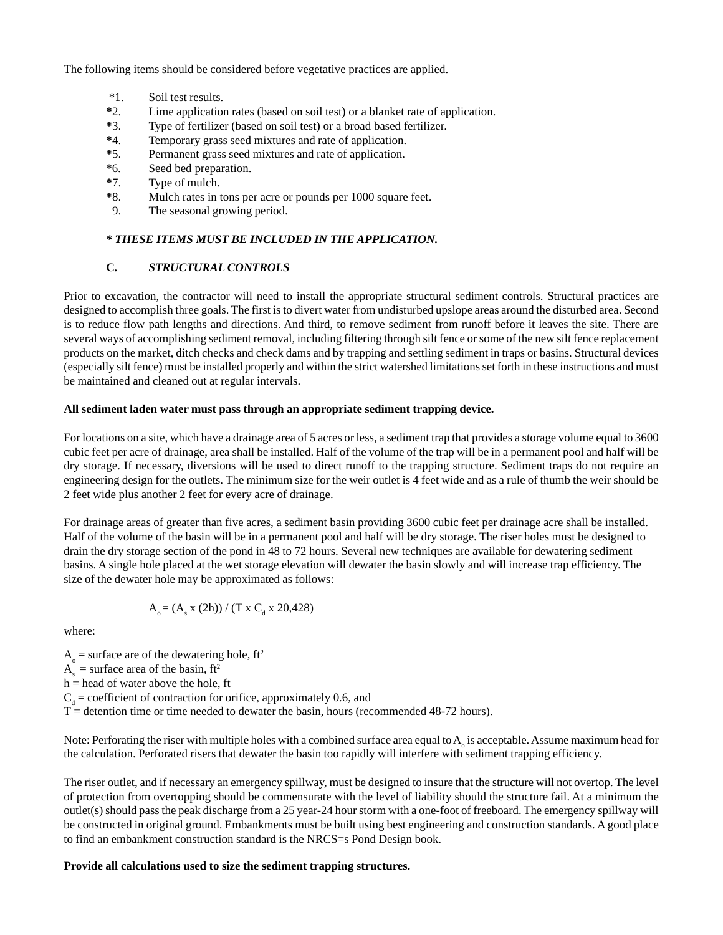The following items should be considered before vegetative practices are applied.

- \*1. Soil test results.
- **\***2. Lime application rates (based on soil test) or a blanket rate of application.
- **\***3. Type of fertilizer (based on soil test) or a broad based fertilizer.
- **\***4. Temporary grass seed mixtures and rate of application.
- **\***5. Permanent grass seed mixtures and rate of application.
- \*6. Seed bed preparation.
- **\***7. Type of mulch.
- **\***8. Mulch rates in tons per acre or pounds per 1000 square feet.
- 9. The seasonal growing period.

#### *\* THESE ITEMS MUST BE INCLUDED IN THE APPLICATION.*

#### **C***. STRUCTURAL CONTROLS*

Prior to excavation, the contractor will need to install the appropriate structural sediment controls. Structural practices are designed to accomplish three goals. The first is to divert water from undisturbed upslope areas around the disturbed area. Second is to reduce flow path lengths and directions. And third, to remove sediment from runoff before it leaves the site. There are several ways of accomplishing sediment removal, including filtering through silt fence or some of the new silt fence replacement products on the market, ditch checks and check dams and by trapping and settling sediment in traps or basins. Structural devices (especially silt fence) must be installed properly and within the strict watershed limitations set forth in these instructions and must be maintained and cleaned out at regular intervals.

#### **All sediment laden water must pass through an appropriate sediment trapping device.**

For locations on a site, which have a drainage area of 5 acres or less, a sediment trap that provides a storage volume equal to 3600 cubic feet per acre of drainage, area shall be installed. Half of the volume of the trap will be in a permanent pool and half will be dry storage. If necessary, diversions will be used to direct runoff to the trapping structure. Sediment traps do not require an engineering design for the outlets. The minimum size for the weir outlet is 4 feet wide and as a rule of thumb the weir should be 2 feet wide plus another 2 feet for every acre of drainage.

For drainage areas of greater than five acres, a sediment basin providing 3600 cubic feet per drainage acre shall be installed. Half of the volume of the basin will be in a permanent pool and half will be dry storage. The riser holes must be designed to drain the dry storage section of the pond in 48 to 72 hours. Several new techniques are available for dewatering sediment basins. A single hole placed at the wet storage elevation will dewater the basin slowly and will increase trap efficiency. The size of the dewater hole may be approximated as follows:

$$
A_{_0} = (A_{_s} x (2h)) / (T x C_{_d} x 20,428)
$$

where:

 $A_0$  = surface are of the dewatering hole, ft<sup>2</sup>

 $A<sub>s</sub>$  = surface area of the basin, ft<sup>2</sup>

h = head of water above the hole, ft

 $C_d$  = coefficient of contraction for orifice, approximately 0.6, and

 $T =$  detention time or time needed to dewater the basin, hours (recommended 48-72 hours).

Note: Perforating the riser with multiple holes with a combined surface area equal to  $A_{\circ}$  is acceptable. Assume maximum head for the calculation. Perforated risers that dewater the basin too rapidly will interfere with sediment trapping efficiency.

The riser outlet, and if necessary an emergency spillway, must be designed to insure that the structure will not overtop. The level of protection from overtopping should be commensurate with the level of liability should the structure fail. At a minimum the outlet(s) should pass the peak discharge from a 25 year-24 hour storm with a one-foot of freeboard. The emergency spillway will be constructed in original ground. Embankments must be built using best engineering and construction standards. A good place to find an embankment construction standard is the NRCS=s Pond Design book.

#### **Provide all calculations used to size the sediment trapping structures.**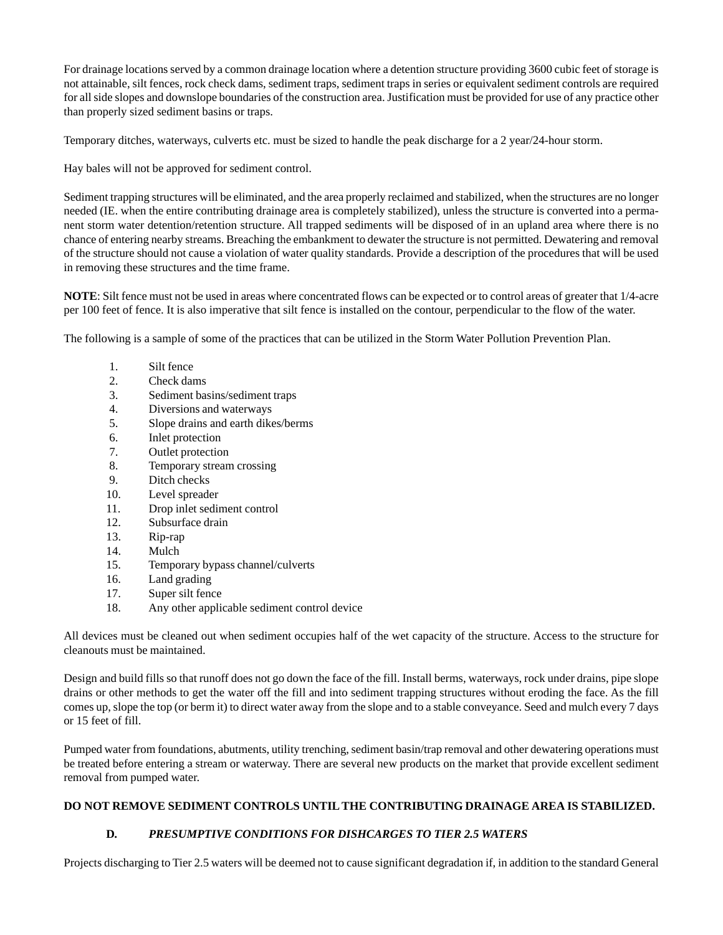For drainage locations served by a common drainage location where a detention structure providing 3600 cubic feet of storage is not attainable, silt fences, rock check dams, sediment traps, sediment traps in series or equivalent sediment controls are required for all side slopes and downslope boundaries of the construction area. Justification must be provided for use of any practice other than properly sized sediment basins or traps.

Temporary ditches, waterways, culverts etc. must be sized to handle the peak discharge for a 2 year/24-hour storm.

Hay bales will not be approved for sediment control.

Sediment trapping structures will be eliminated, and the area properly reclaimed and stabilized, when the structures are no longer needed (IE. when the entire contributing drainage area is completely stabilized), unless the structure is converted into a permanent storm water detention/retention structure. All trapped sediments will be disposed of in an upland area where there is no chance of entering nearby streams. Breaching the embankment to dewater the structure is not permitted. Dewatering and removal of the structure should not cause a violation of water quality standards. Provide a description of the procedures that will be used in removing these structures and the time frame.

**NOTE**: Silt fence must not be used in areas where concentrated flows can be expected or to control areas of greater that 1/4-acre per 100 feet of fence. It is also imperative that silt fence is installed on the contour, perpendicular to the flow of the water.

The following is a sample of some of the practices that can be utilized in the Storm Water Pollution Prevention Plan.

- 1. Silt fence
- 2. Check dams
- 3. Sediment basins/sediment traps
- 4. Diversions and waterways
- 5. Slope drains and earth dikes/berms
- 6. Inlet protection
- 7. Outlet protection
- 8. Temporary stream crossing
- 9. Ditch checks
- 10. Level spreader
- 11. Drop inlet sediment control
- 12. Subsurface drain
- 13. Rip-rap
- 14. Mulch
- 15. Temporary bypass channel/culverts
- 16. Land grading
- 17. Super silt fence
- 18. Any other applicable sediment control device

All devices must be cleaned out when sediment occupies half of the wet capacity of the structure. Access to the structure for cleanouts must be maintained.

Design and build fills so that runoff does not go down the face of the fill. Install berms, waterways, rock under drains, pipe slope drains or other methods to get the water off the fill and into sediment trapping structures without eroding the face. As the fill comes up, slope the top (or berm it) to direct water away from the slope and to a stable conveyance. Seed and mulch every 7 days or 15 feet of fill.

Pumped water from foundations, abutments, utility trenching, sediment basin/trap removal and other dewatering operations must be treated before entering a stream or waterway. There are several new products on the market that provide excellent sediment removal from pumped water.

#### **DO NOT REMOVE SEDIMENT CONTROLS UNTIL THE CONTRIBUTING DRAINAGE AREA IS STABILIZED.**

# **D***. PRESUMPTIVE CONDITIONS FOR DISHCARGES TO TIER 2.5 WATERS*

Projects discharging to Tier 2.5 waters will be deemed not to cause significant degradation if, in addition to the standard General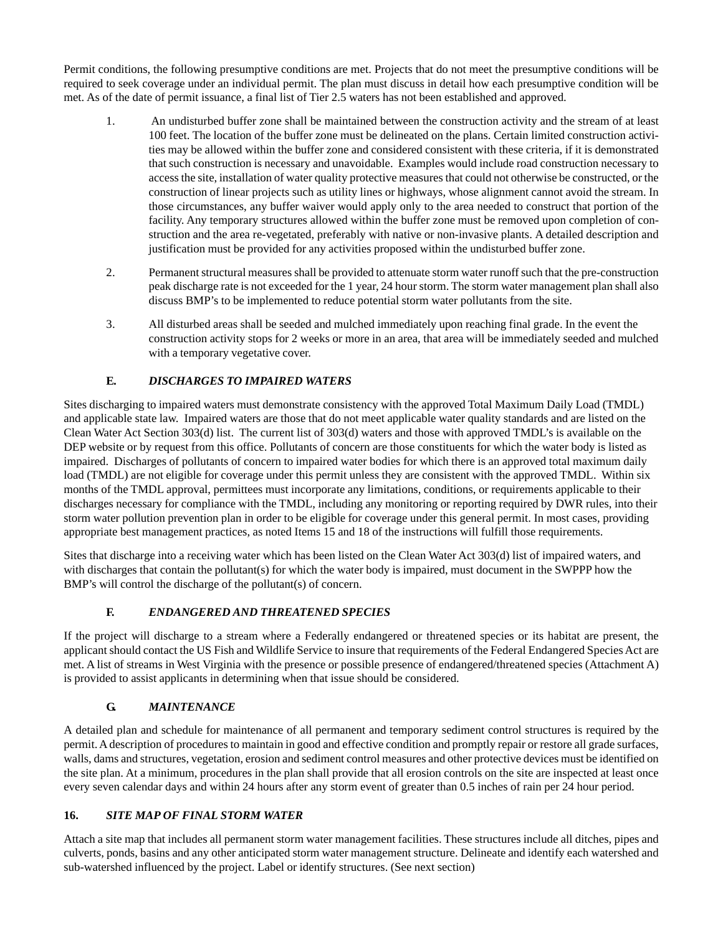Permit conditions, the following presumptive conditions are met. Projects that do not meet the presumptive conditions will be required to seek coverage under an individual permit. The plan must discuss in detail how each presumptive condition will be met. As of the date of permit issuance, a final list of Tier 2.5 waters has not been established and approved.

- 1. An undisturbed buffer zone shall be maintained between the construction activity and the stream of at least 100 feet. The location of the buffer zone must be delineated on the plans. Certain limited construction activities may be allowed within the buffer zone and considered consistent with these criteria, if it is demonstrated that such construction is necessary and unavoidable. Examples would include road construction necessary to access the site, installation of water quality protective measures that could not otherwise be constructed, or the construction of linear projects such as utility lines or highways, whose alignment cannot avoid the stream. In those circumstances, any buffer waiver would apply only to the area needed to construct that portion of the facility. Any temporary structures allowed within the buffer zone must be removed upon completion of construction and the area re-vegetated, preferably with native or non-invasive plants. A detailed description and justification must be provided for any activities proposed within the undisturbed buffer zone.
- 2. Permanent structural measures shall be provided to attenuate storm water runoff such that the pre-construction peak discharge rate is not exceeded for the 1 year, 24 hour storm. The storm water management plan shall also discuss BMP's to be implemented to reduce potential storm water pollutants from the site.
- 3. All disturbed areas shall be seeded and mulched immediately upon reaching final grade. In the event the construction activity stops for 2 weeks or more in an area, that area will be immediately seeded and mulched with a temporary vegetative cover.

# **E***. DISCHARGES TO IMPAIRED WATERS*

Sites discharging to impaired waters must demonstrate consistency with the approved Total Maximum Daily Load (TMDL) and applicable state law. Impaired waters are those that do not meet applicable water quality standards and are listed on the Clean Water Act Section 303(d) list. The current list of 303(d) waters and those with approved TMDL's is available on the DEP website or by request from this office. Pollutants of concern are those constituents for which the water body is listed as impaired. Discharges of pollutants of concern to impaired water bodies for which there is an approved total maximum daily load (TMDL) are not eligible for coverage under this permit unless they are consistent with the approved TMDL. Within six months of the TMDL approval, permittees must incorporate any limitations, conditions, or requirements applicable to their discharges necessary for compliance with the TMDL, including any monitoring or reporting required by DWR rules, into their storm water pollution prevention plan in order to be eligible for coverage under this general permit. In most cases, providing appropriate best management practices, as noted Items 15 and 18 of the instructions will fulfill those requirements.

Sites that discharge into a receiving water which has been listed on the Clean Water Act 303(d) list of impaired waters, and with discharges that contain the pollutant(s) for which the water body is impaired, must document in the SWPPP how the BMP's will control the discharge of the pollutant(s) of concern.

# **F***. ENDANGERED AND THREATENED SPECIES*

If the project will discharge to a stream where a Federally endangered or threatened species or its habitat are present, the applicant should contact the US Fish and Wildlife Service to insure that requirements of the Federal Endangered Species Act are met. A list of streams in West Virginia with the presence or possible presence of endangered/threatened species (Attachment A) is provided to assist applicants in determining when that issue should be considered.

# **G***. MAINTENANCE*

A detailed plan and schedule for maintenance of all permanent and temporary sediment control structures is required by the permit. A description of procedures to maintain in good and effective condition and promptly repair or restore all grade surfaces, walls, dams and structures, vegetation, erosion and sediment control measures and other protective devices must be identified on the site plan. At a minimum, procedures in the plan shall provide that all erosion controls on the site are inspected at least once every seven calendar days and within 24 hours after any storm event of greater than 0.5 inches of rain per 24 hour period.

# **16.** *SITE MAP OF FINAL STORM WATER*

Attach a site map that includes all permanent storm water management facilities. These structures include all ditches, pipes and culverts, ponds, basins and any other anticipated storm water management structure. Delineate and identify each watershed and sub-watershed influenced by the project. Label or identify structures. (See next section)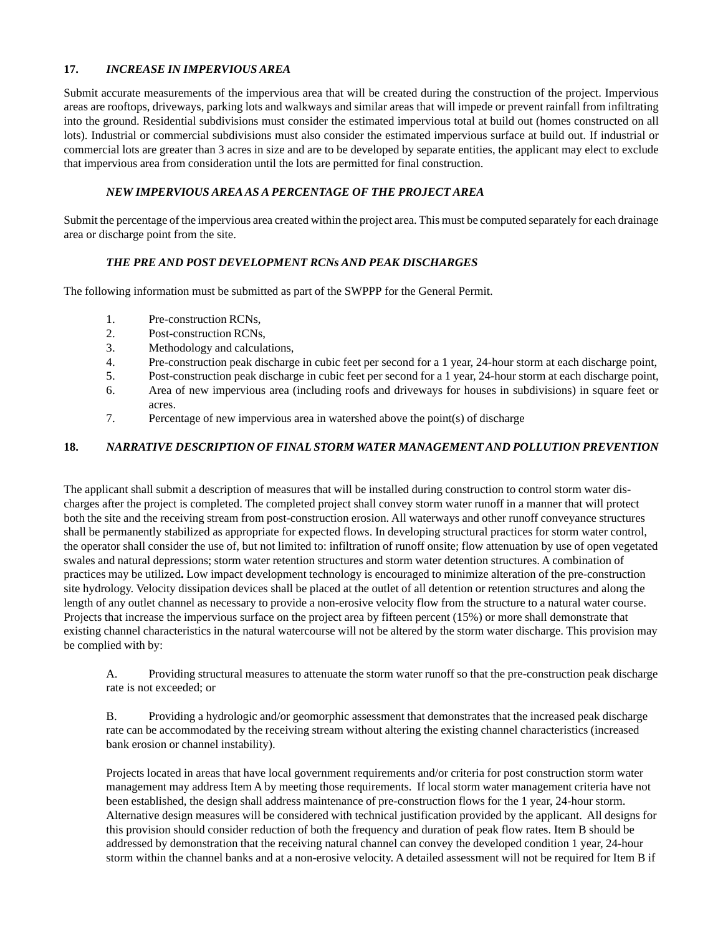#### **17.** *INCREASE IN IMPERVIOUS AREA*

Submit accurate measurements of the impervious area that will be created during the construction of the project. Impervious areas are rooftops, driveways, parking lots and walkways and similar areas that will impede or prevent rainfall from infiltrating into the ground. Residential subdivisions must consider the estimated impervious total at build out (homes constructed on all lots). Industrial or commercial subdivisions must also consider the estimated impervious surface at build out. If industrial or commercial lots are greater than 3 acres in size and are to be developed by separate entities, the applicant may elect to exclude that impervious area from consideration until the lots are permitted for final construction.

# *NEW IMPERVIOUS AREA AS A PERCENTAGE OF THE PROJECT AREA*

Submit the percentage of the impervious area created within the project area. This must be computed separately for each drainage area or discharge point from the site.

# *THE PRE AND POST DEVELOPMENT RCNs AND PEAK DISCHARGES*

The following information must be submitted as part of the SWPPP for the General Permit.

- 1. Pre-construction RCNs,
- 2. Post-construction RCNs,
- 3. Methodology and calculations,
- 4. Pre-construction peak discharge in cubic feet per second for a 1 year, 24-hour storm at each discharge point,
- 5. Post-construction peak discharge in cubic feet per second for a 1 year, 24-hour storm at each discharge point,
- 6. Area of new impervious area (including roofs and driveways for houses in subdivisions) in square feet or acres.
- 7. Percentage of new impervious area in watershed above the point(s) of discharge

## **18.** *NARRATIVE DESCRIPTION OF FINAL STORM WATER MANAGEMENT AND POLLUTION PREVENTION*

The applicant shall submit a description of measures that will be installed during construction to control storm water discharges after the project is completed. The completed project shall convey storm water runoff in a manner that will protect both the site and the receiving stream from post-construction erosion. All waterways and other runoff conveyance structures shall be permanently stabilized as appropriate for expected flows. In developing structural practices for storm water control, the operator shall consider the use of, but not limited to: infiltration of runoff onsite; flow attenuation by use of open vegetated swales and natural depressions; storm water retention structures and storm water detention structures. A combination of practices may be utilized**.** Low impact development technology is encouraged to minimize alteration of the pre-construction site hydrology. Velocity dissipation devices shall be placed at the outlet of all detention or retention structures and along the length of any outlet channel as necessary to provide a non-erosive velocity flow from the structure to a natural water course. Projects that increase the impervious surface on the project area by fifteen percent (15%) or more shall demonstrate that existing channel characteristics in the natural watercourse will not be altered by the storm water discharge. This provision may be complied with by:

A. Providing structural measures to attenuate the storm water runoff so that the pre-construction peak discharge rate is not exceeded; or

B. Providing a hydrologic and/or geomorphic assessment that demonstrates that the increased peak discharge rate can be accommodated by the receiving stream without altering the existing channel characteristics (increased bank erosion or channel instability).

Projects located in areas that have local government requirements and/or criteria for post construction storm water management may address Item A by meeting those requirements. If local storm water management criteria have not been established, the design shall address maintenance of pre-construction flows for the 1 year, 24-hour storm. Alternative design measures will be considered with technical justification provided by the applicant. All designs for this provision should consider reduction of both the frequency and duration of peak flow rates. Item B should be addressed by demonstration that the receiving natural channel can convey the developed condition 1 year, 24-hour storm within the channel banks and at a non-erosive velocity. A detailed assessment will not be required for Item B if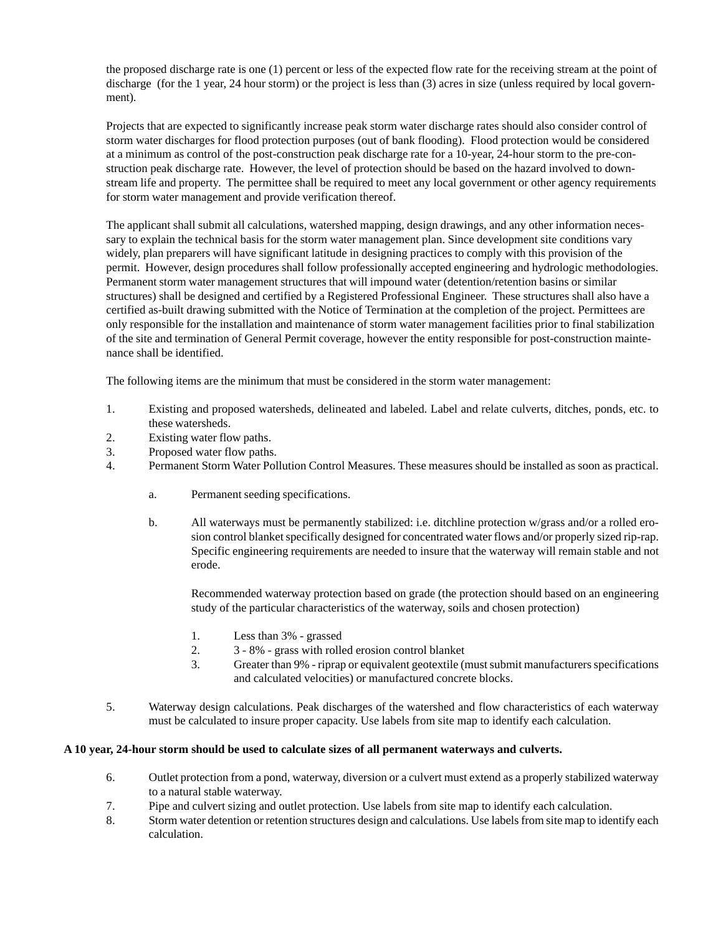the proposed discharge rate is one (1) percent or less of the expected flow rate for the receiving stream at the point of discharge (for the 1 year, 24 hour storm) or the project is less than (3) acres in size (unless required by local government).

Projects that are expected to significantly increase peak storm water discharge rates should also consider control of storm water discharges for flood protection purposes (out of bank flooding). Flood protection would be considered at a minimum as control of the post-construction peak discharge rate for a 10-year, 24-hour storm to the pre-construction peak discharge rate. However, the level of protection should be based on the hazard involved to downstream life and property. The permittee shall be required to meet any local government or other agency requirements for storm water management and provide verification thereof.

The applicant shall submit all calculations, watershed mapping, design drawings, and any other information necessary to explain the technical basis for the storm water management plan. Since development site conditions vary widely, plan preparers will have significant latitude in designing practices to comply with this provision of the permit. However, design procedures shall follow professionally accepted engineering and hydrologic methodologies. Permanent storm water management structures that will impound water (detention/retention basins or similar structures) shall be designed and certified by a Registered Professional Engineer. These structures shall also have a certified as-built drawing submitted with the Notice of Termination at the completion of the project. Permittees are only responsible for the installation and maintenance of storm water management facilities prior to final stabilization of the site and termination of General Permit coverage, however the entity responsible for post-construction maintenance shall be identified.

The following items are the minimum that must be considered in the storm water management:

- 1. Existing and proposed watersheds, delineated and labeled. Label and relate culverts, ditches, ponds, etc. to these watersheds.
- 2. Existing water flow paths.
- 3. Proposed water flow paths.
- 4. Permanent Storm Water Pollution Control Measures. These measures should be installed as soon as practical.
	- a. Permanent seeding specifications.
	- b. All waterways must be permanently stabilized: i.e. ditchline protection w/grass and/or a rolled erosion control blanket specifically designed for concentrated water flows and/or properly sized rip-rap. Specific engineering requirements are needed to insure that the waterway will remain stable and not erode.

Recommended waterway protection based on grade (the protection should based on an engineering study of the particular characteristics of the waterway, soils and chosen protection)

- 1. Less than 3% grassed
- 2. 3 8% grass with rolled erosion control blanket
- 3. Greater than 9% riprap or equivalent geotextile (must submit manufacturers specifications and calculated velocities) or manufactured concrete blocks.
- 5. Waterway design calculations. Peak discharges of the watershed and flow characteristics of each waterway must be calculated to insure proper capacity. Use labels from site map to identify each calculation.

#### **A 10 year, 24-hour storm should be used to calculate sizes of all permanent waterways and culverts.**

- 6. Outlet protection from a pond, waterway, diversion or a culvert must extend as a properly stabilized waterway to a natural stable waterway.
- 7. Pipe and culvert sizing and outlet protection. Use labels from site map to identify each calculation.
- 8. Storm water detention or retention structures design and calculations. Use labels from site map to identify each calculation.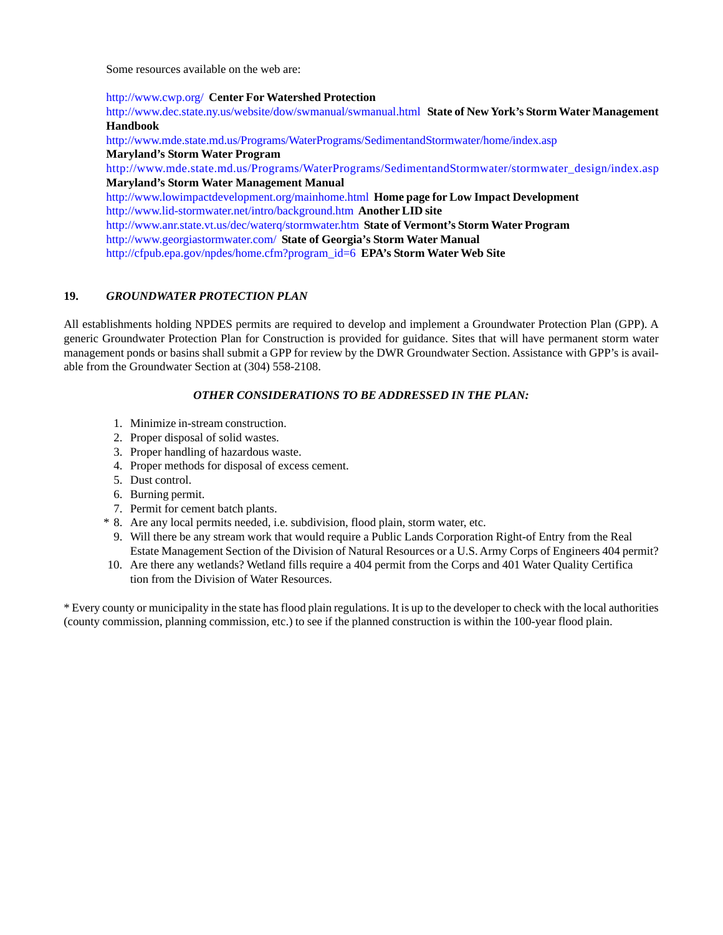Some resources available on the web are:

#### <http://www.cwp.org/>**Center For Watershed Protection**

<http://www.dec.state.ny.us/website/dow/swmanual/swmanual.html> **State of New York's Storm Water Management Handbook**

<http://www.mde.state.md.us/Programs/WaterPrograms/SedimentandStormwater/home/index.asp> **Maryland's Storm Water Program**

[http://www.mde.state.md.us/Programs/WaterPrograms/SedimentandStormwater/stormwater\\_design/index.asp](http://www.mde.state.md.us/Programs/WaterPrograms/SedimentandStormwater/stormwater_design/index.asp) **Maryland's Storm Water Management Manual**

<http://www.lowimpactdevelopment.org/mainhome.html> **Home page for Low Impact Development** <http://www.lid-stormwater.net/intro/background.htm> **Another LID site** <http://www.anr.state.vt.us/dec/waterq/stormwater.htm>**State of Vermont's Storm Water Program** <http://www.georgiastormwater.com/>**State of Georgia's Storm Water Manual**

[http://cfpub.epa.gov/npdes/home.cfm?program\\_id=6](http://cfpub.epa.gov/npdes/home.cfm?program_id=6) **EPA's Storm Water Web Site**

## **19.** *GROUNDWATER PROTECTION PLAN*

All establishments holding NPDES permits are required to develop and implement a Groundwater Protection Plan (GPP). A generic Groundwater Protection Plan for Construction is provided for guidance. Sites that will have permanent storm water management ponds or basins shall submit a GPP for review by the DWR Groundwater Section. Assistance with GPP's is available from the Groundwater Section at (304) 558-2108.

#### *OTHER CONSIDERATIONS TO BE ADDRESSED IN THE PLAN:*

- 1. Minimize in-stream construction.
- 2. Proper disposal of solid wastes.
- 3. Proper handling of hazardous waste.
- 4. Proper methods for disposal of excess cement.
- 5. Dust control.
- 6. Burning permit.
- 7. Permit for cement batch plants.
- \* 8. Are any local permits needed, i.e. subdivision, flood plain, storm water, etc.
	- 9. Will there be any stream work that would require a Public Lands Corporation Right-of Entry from the Real Estate Management Section of the Division of Natural Resources or a U.S. Army Corps of Engineers 404 permit?
- 10. Are there any wetlands? Wetland fills require a 404 permit from the Corps and 401 Water Quality Certifica tion from the Division of Water Resources.

\* Every county or municipality in the state has flood plain regulations. It is up to the developer to check with the local authorities (county commission, planning commission, etc.) to see if the planned construction is within the 100-year flood plain.